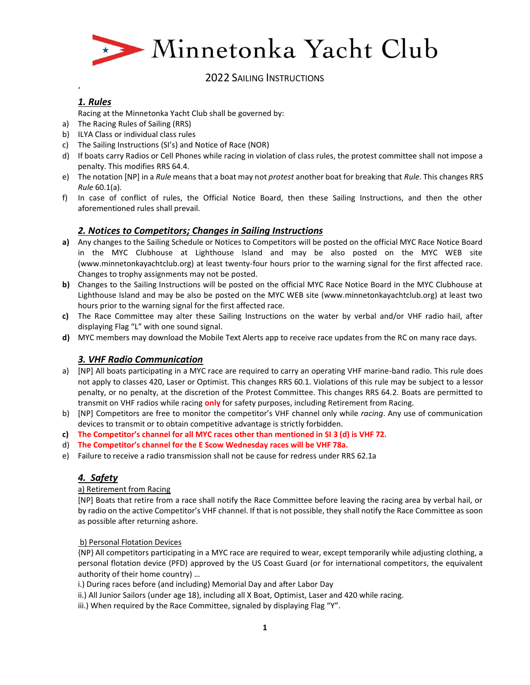

## *1. Rules*

 $\epsilon$ 

Racing at the Minnetonka Yacht Club shall be governed by:

- a) The Racing Rules of Sailing (RRS)
- b) ILYA Class or individual class rules
- c) The Sailing Instructions (SI's) and Notice of Race (NOR)
- d) If boats carry Radios or Cell Phones while racing in violation of class rules, the protest committee shall not impose a penalty. This modifies RRS 64.4.
- e) The notation [NP] in a *Rule* means that a boat may not *protest* another boat for breaking that *Rule*. This changes RRS *Rule* 60.1(a).
- f) In case of conflict of rules, the Official Notice Board, then these Sailing Instructions, and then the other aforementioned rules shall prevail.

## *2. Notices to Competitors; Changes in Sailing Instructions*

- **a)** Any changes to the Sailing Schedule or Notices to Competitors will be posted on the official MYC Race Notice Board in the MYC Clubhouse at Lighthouse Island and may be also posted on the MYC WEB site (www.minnetonkayachtclub.org) at least twenty-four hours prior to the warning signal for the first affected race. Changes to trophy assignments may not be posted.
- **b)** Changes to the Sailing Instructions will be posted on the official MYC Race Notice Board in the MYC Clubhouse at Lighthouse Island and may be also be posted on the MYC WEB site (www.minnetonkayachtclub.org) at least two hours prior to the warning signal for the first affected race.
- **c)** The Race Committee may alter these Sailing Instructions on the water by verbal and/or VHF radio hail, after displaying Flag "L" with one sound signal.
- **d)** MYC members may download the Mobile Text Alerts app to receive race updates from the RC on many race days.

## *3. VHF Radio Communication*

- a) [NP] All boats participating in a MYC race are required to carry an operating VHF marine-band radio. This rule does not apply to classes 420, Laser or Optimist. This changes RRS 60.1. Violations of this rule may be subject to a lessor penalty, or no penalty, at the discretion of the Protest Committee. This changes RRS 64.2. Boats are permitted to transmit on VHF radios while racing **only** for safety purposes, including Retirement from Racing.
- b) [NP] Competitors are free to monitor the competitor's VHF channel only while *racing*. Any use of communication devices to transmit or to obtain competitive advantage is strictly forbidden.
- **c) The Competitor's channel for all MYC races other than mentioned in SI 3 (d) is VHF 72.**
- d) **The Competitor's channel for the E Scow Wednesday races will be VHF 78a.**
- e) Failure to receive a radio transmission shall not be cause for redress under RRS 62.1a

# *4. Safety*

## a) Retirement from Racing

[NP] Boats that retire from a race shall notify the Race Committee before leaving the racing area by verbal hail, or by radio on the active Competitor's VHF channel. If that is not possible, they shall notify the Race Committee as soon as possible after returning ashore.

## b) Personal Flotation Devices

{NP} All competitors participating in a MYC race are required to wear, except temporarily while adjusting clothing, a personal flotation device (PFD) approved by the US Coast Guard (or for international competitors, the equivalent authority of their home country) …

- i.) During races before (and including) Memorial Day and after Labor Day
- ii.) All Junior Sailors (under age 18), including all X Boat, Optimist, Laser and 420 while racing.
- iii.) When required by the Race Committee, signaled by displaying Flag "Y".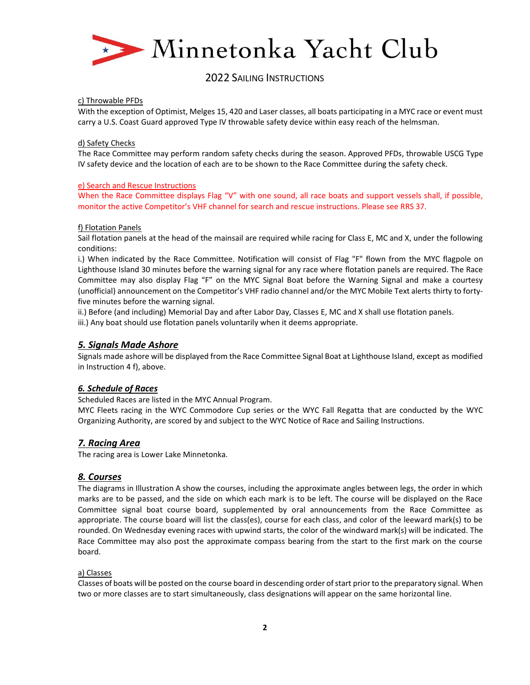

#### c) Throwable PFDs

With the exception of Optimist, Melges 15, 420 and Laser classes, all boats participating in a MYC race or event must carry a U.S. Coast Guard approved Type IV throwable safety device within easy reach of the helmsman.

#### d) Safety Checks

The Race Committee may perform random safety checks during the season. Approved PFDs, throwable USCG Type IV safety device and the location of each are to be shown to the Race Committee during the safety check.

## e) Search and Rescue Instructions

When the Race Committee displays Flag "V" with one sound, all race boats and support vessels shall, if possible, monitor the active Competitor's VHF channel for search and rescue instructions. Please see RRS 37.

#### f) Flotation Panels

Sail flotation panels at the head of the mainsail are required while racing for Class E, MC and X, under the following conditions:

i.) When indicated by the Race Committee. Notification will consist of Flag "F" flown from the MYC flagpole on Lighthouse Island 30 minutes before the warning signal for any race where flotation panels are required. The Race Committee may also display Flag "F" on the MYC Signal Boat before the Warning Signal and make a courtesy (unofficial) announcement on the Competitor's VHF radio channel and/or the MYC Mobile Text alerts thirty to fortyfive minutes before the warning signal.

ii.) Before (and including) Memorial Day and after Labor Day, Classes E, MC and X shall use flotation panels.

iii.) Any boat should use flotation panels voluntarily when it deems appropriate.

## *5. Signals Made Ashore*

Signals made ashore will be displayed from the Race Committee Signal Boat at Lighthouse Island, except as modified in Instruction 4 f), above.

## *6. Schedule of Races*

Scheduled Races are listed in the MYC Annual Program.

MYC Fleets racing in the WYC Commodore Cup series or the WYC Fall Regatta that are conducted by the WYC Organizing Authority, are scored by and subject to the WYC Notice of Race and Sailing Instructions.

## *7. Racing Area*

The racing area is Lower Lake Minnetonka.

## *8. Courses*

The diagrams in Illustration A show the courses, including the approximate angles between legs, the order in which marks are to be passed, and the side on which each mark is to be left. The course will be displayed on the Race Committee signal boat course board, supplemented by oral announcements from the Race Committee as appropriate. The course board will list the class(es), course for each class, and color of the leeward mark(s) to be rounded. On Wednesday evening races with upwind starts, the color of the windward mark(s) will be indicated. The Race Committee may also post the approximate compass bearing from the start to the first mark on the course board.

#### a) Classes

Classes of boats will be posted on the course board in descending order of start prior to the preparatory signal. When two or more classes are to start simultaneously, class designations will appear on the same horizontal line.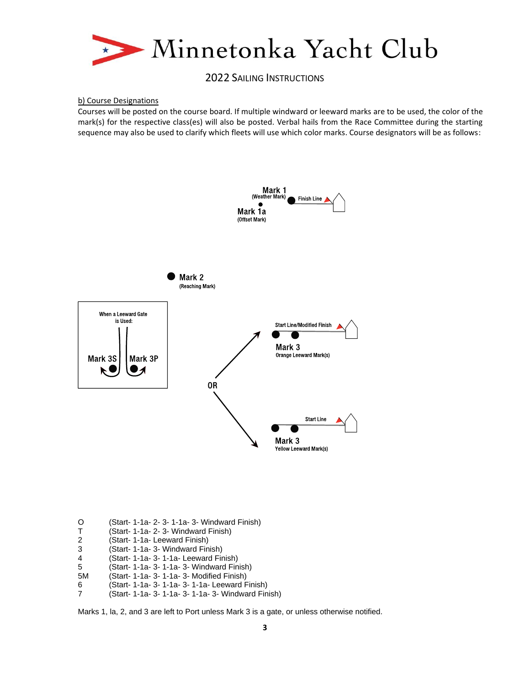

#### b) Course Designations

Courses will be posted on the course board. If multiple windward or leeward marks are to be used, the color of the mark(s) for the respective class(es) will also be posted. Verbal hails from the Race Committee during the starting sequence may also be used to clarify which fleets will use which color marks. Course designators will be as follows:



- O (Start- 1-1a- 2- 3- 1-1a- 3- Windward Finish)
- T (Start- 1-1a- 2- 3- Windward Finish)
- 
- 2 (Start- 1-1a- Leeward Finish) (Start- 1-1a- 3- Windward Finish)
- 4 (Start- 1-1a- 3- 1-1a- Leeward Finish)
- 5 (Start- 1-1a- 3- 1-1a- 3- Windward Finish)
- (Start- 1-1a- 3- 1-1a- 3- Modified Finish)
- 
- 6 (Start- 1-1a- 3- 1-1a- 3- 1-1a- Leeward Finish) (Start- 1-1a- 3- 1-1a- 3- 1-1a- 3- Windward Finish)

Marks 1, la, 2, and 3 are left to Port unless Mark 3 is a gate, or unless otherwise notified.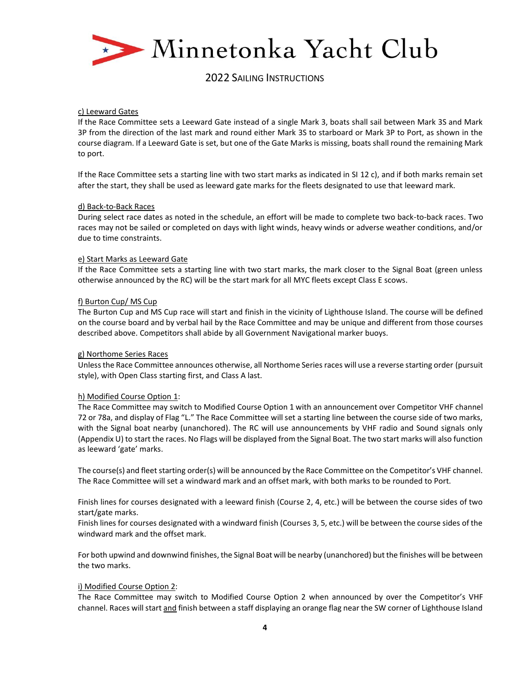

#### c) Leeward Gates

If the Race Committee sets a Leeward Gate instead of a single Mark 3, boats shall sail between Mark 3S and Mark 3P from the direction of the last mark and round either Mark 3S to starboard or Mark 3P to Port, as shown in the course diagram. If a Leeward Gate is set, but one of the Gate Marks is missing, boats shall round the remaining Mark to port.

If the Race Committee sets a starting line with two start marks as indicated in SI 12 c), and if both marks remain set after the start, they shall be used as leeward gate marks for the fleets designated to use that leeward mark.

#### d) Back-to-Back Races

During select race dates as noted in the schedule, an effort will be made to complete two back-to-back races. Two races may not be sailed or completed on days with light winds, heavy winds or adverse weather conditions, and/or due to time constraints.

#### e) Start Marks as Leeward Gate

If the Race Committee sets a starting line with two start marks, the mark closer to the Signal Boat (green unless otherwise announced by the RC) will be the start mark for all MYC fleets except Class E scows.

#### f) Burton Cup/ MS Cup

The Burton Cup and MS Cup race will start and finish in the vicinity of Lighthouse Island. The course will be defined on the course board and by verbal hail by the Race Committee and may be unique and different from those courses described above. Competitors shall abide by all Government Navigational marker buoys.

#### g) Northome Series Races

Unless the Race Committee announces otherwise, all Northome Series races will use a reverse starting order (pursuit style), with Open Class starting first, and Class A last.

#### h) Modified Course Option 1:

The Race Committee may switch to Modified Course Option 1 with an announcement over Competitor VHF channel 72 or 78a, and display of Flag "L." The Race Committee will set a starting line between the course side of two marks, with the Signal boat nearby (unanchored). The RC will use announcements by VHF radio and Sound signals only (Appendix U) to start the races. No Flags will be displayed from the Signal Boat. The two start marks will also function as leeward 'gate' marks.

The course(s) and fleet starting order(s) will be announced by the Race Committee on the Competitor's VHF channel. The Race Committee will set a windward mark and an offset mark, with both marks to be rounded to Port.

Finish lines for courses designated with a leeward finish (Course 2, 4, etc.) will be between the course sides of two start/gate marks.

Finish lines for courses designated with a windward finish (Courses 3, 5, etc.) will be between the course sides of the windward mark and the offset mark.

For both upwind and downwind finishes, the Signal Boat will be nearby (unanchored) but the finishes will be between the two marks.

#### i) Modified Course Option 2:

The Race Committee may switch to Modified Course Option 2 when announced by over the Competitor's VHF channel. Races will start and finish between a staff displaying an orange flag near the SW corner of Lighthouse Island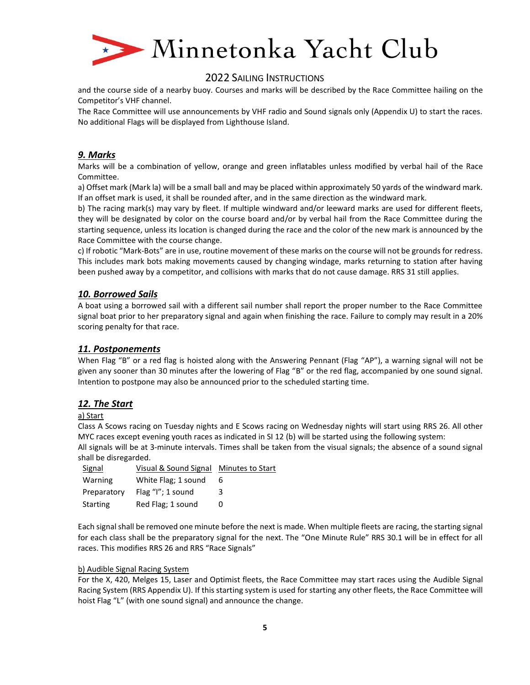

and the course side of a nearby buoy. Courses and marks will be described by the Race Committee hailing on the Competitor's VHF channel.

The Race Committee will use announcements by VHF radio and Sound signals only (Appendix U) to start the races. No additional Flags will be displayed from Lighthouse Island.

## *9. Marks*

Marks will be a combination of yellow, orange and green inflatables unless modified by verbal hail of the Race Committee.

a) Offset mark (Mark la) will be a small ball and may be placed within approximately 50 yards of the windward mark. If an offset mark is used, it shall be rounded after, and in the same direction as the windward mark.

b) The racing mark(s) may vary by fleet. If multiple windward and/or leeward marks are used for different fleets, they will be designated by color on the course board and/or by verbal hail from the Race Committee during the starting sequence, unless its location is changed during the race and the color of the new mark is announced by the Race Committee with the course change.

c) If robotic "Mark-Bots" are in use, routine movement of these marks on the course will not be grounds for redress. This includes mark bots making movements caused by changing windage, marks returning to station after having been pushed away by a competitor, and collisions with marks that do not cause damage. RRS 31 still applies.

## *10. Borrowed Sails*

A boat using a borrowed sail with a different sail number shall report the proper number to the Race Committee signal boat prior to her preparatory signal and again when finishing the race. Failure to comply may result in a 20% scoring penalty for that race.

## *11. Postponements*

When Flag "B" or a red flag is hoisted along with the Answering Pennant (Flag "AP"), a warning signal will not be given any sooner than 30 minutes after the lowering of Flag "B" or the red flag, accompanied by one sound signal. Intention to postpone may also be announced prior to the scheduled starting time.

## *12. The Start*

## a) Start

Class A Scows racing on Tuesday nights and E Scows racing on Wednesday nights will start using RRS 26. All other MYC races except evening youth races as indicated in SI 12 (b) will be started using the following system:

All signals will be at 3-minute intervals. Times shall be taken from the visual signals; the absence of a sound signal shall be disregarded.

| Signal      | Visual & Sound Signal Minutes to Start |   |
|-------------|----------------------------------------|---|
| Warning     | White Flag; 1 sound                    | 6 |
| Preparatory | Flag $''$ l"; 1 sound                  | 3 |
| Starting    | Red Flag; 1 sound                      | 0 |

Each signal shall be removed one minute before the next is made. When multiple fleets are racing, the starting signal for each class shall be the preparatory signal for the next. The "One Minute Rule" RRS 30.1 will be in effect for all races. This modifies RRS 26 and RRS "Race Signals"

#### b) Audible Signal Racing System

For the X, 420, Melges 15, Laser and Optimist fleets, the Race Committee may start races using the Audible Signal Racing System (RRS Appendix U). If this starting system is used for starting any other fleets, the Race Committee will hoist Flag "L" (with one sound signal) and announce the change.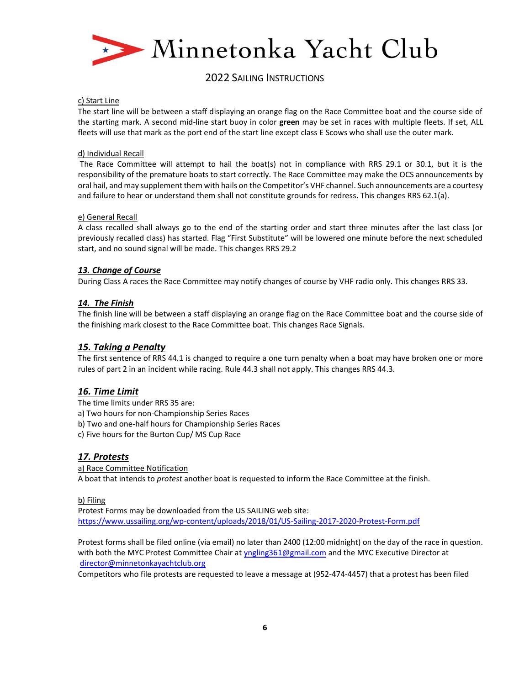

#### c) Start Line

The start line will be between a staff displaying an orange flag on the Race Committee boat and the course side of the starting mark. A second mid-line start buoy in color **green** may be set in races with multiple fleets. If set, ALL fleets will use that mark as the port end of the start line except class E Scows who shall use the outer mark.

#### d) Individual Recall

The Race Committee will attempt to hail the boat(s) not in compliance with RRS 29.1 or 30.1, but it is the responsibility of the premature boats to start correctly. The Race Committee may make the OCS announcements by oral hail, and may supplement them with hails on the Competitor's VHF channel. Such announcements are a courtesy and failure to hear or understand them shall not constitute grounds for redress. This changes RRS 62.1(a).

#### e) General Recall

A class recalled shall always go to the end of the starting order and start three minutes after the last class (or previously recalled class) has started. Flag "First Substitute" will be lowered one minute before the next scheduled start, and no sound signal will be made. This changes RRS 29.2

## *13. Change of Course*

During Class A races the Race Committee may notify changes of course by VHF radio only. This changes RRS 33.

## *14. The Finish*

The finish line will be between a staff displaying an orange flag on the Race Committee boat and the course side of the finishing mark closest to the Race Committee boat. This changes Race Signals.

## *15. Taking a Penalty*

The first sentence of RRS 44.1 is changed to require a one turn penalty when a boat may have broken one or more rules of part 2 in an incident while racing. Rule 44.3 shall not apply. This changes RRS 44.3.

## *16. Time Limit*

The time limits under RRS 35 are:

- a) Two hours for non-Championship Series Races
- b) Two and one-half hours for Championship Series Races
- c) Five hours for the Burton Cup/ MS Cup Race

## *17. Protests*

a) Race Committee Notification A boat that intends to *protest* another boat is requested to inform the Race Committee at the finish.

## b) Filing

Protest Forms may be downloaded from the US SAILING web site: <https://www.ussailing.org/wp-content/uploads/2018/01/US-Sailing-2017-2020-Protest-Form.pdf>

Protest forms shall be filed online (via email) no later than 2400 (12:00 midnight) on the day of the race in question. with both the MYC Protest Committee Chair at [yngling361@gmail.com](mailto:yngling361@gmail.com) and the MYC Executive Director at [director@minnetonkayachtclub.org](mailto:director@minnetonkayachtclub.org)

Competitors who file protests are requested to leave a message at (952-474-4457) that a protest has been filed